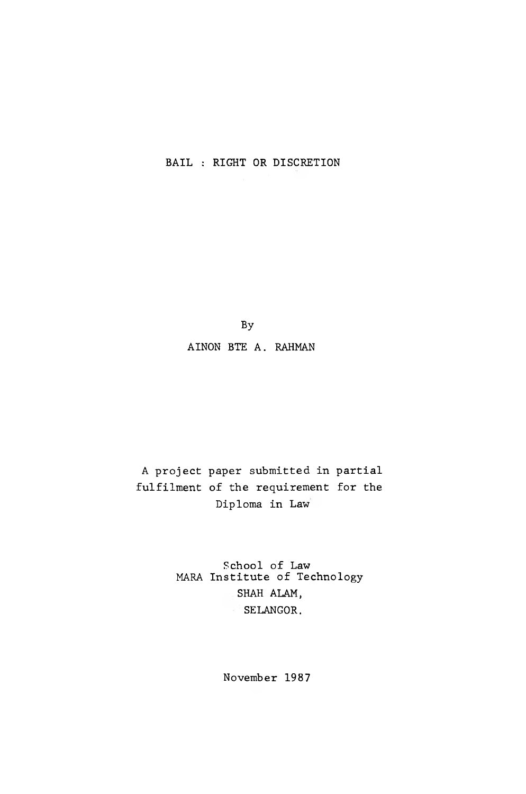BAIL : RIGHT OR DISCRETION

By

A INON BTE A. RAHMAN

A project paper submitted in partial fulfilment of the requirement for the Diploma in Law

> School of Law MARA Institute of Technology SHAH ALAM, SELANGOR.

> > November 1987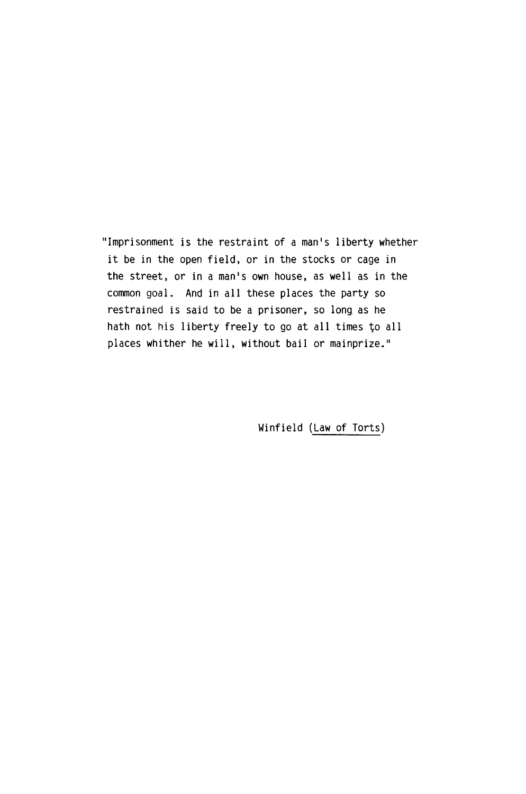"Imprisonment is the restraint of a man's liberty whether it be in the open field, or in the stocks or cage in the street, or in a man's own house, as well as in the common goal. And in all these places the party so restrained is said to be a prisoner, so long as he hath not his liberty freely to go at all times to all places whither he will, without bail or mainprize."

Winfield (Law of Torts)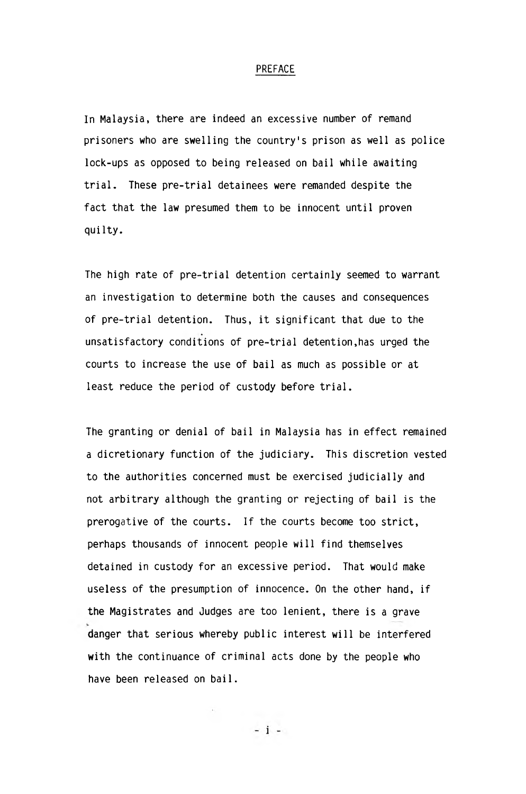## PREFACE

In Malaysia, there are indeed an excessive number of remand prisoners who are swelling the country's prison as well as police lock-ups as opposed to being released on bail while awaiting trial. These pre-trial detainees were remanded despite the fact that the law presumed them to be innocent until proven quilty.

The high rate of pre-trial detention certainly seemed to warrant an investigation to determine both the causes and consequences of pre-trial detention. Thus, it significant that due to the unsatisfactory conditions of pre-trial detention,has urged the courts to increase the use of bail as much as possible or at least reduce the period of custody before trial.

The granting or denial of bail in Malaysia has in effect remained a dicretionary function of the judiciary. This discretion vested to the authorities concerned must be exercised judicially and not arbitrary although the granting or rejecting of bail is the prerogative of the courts. If the courts become too strict, perhaps thousands of innocent people will find themselves detained in custody for an excessive period. That would make useless of the presumption of innocence. On the other hand, if the Magistrates and Judges are too lenient, there is a grave danger that serious whereby public interest will be interfered with the continuance of criminal acts done by the people who have been released on bail.

 $-1$  -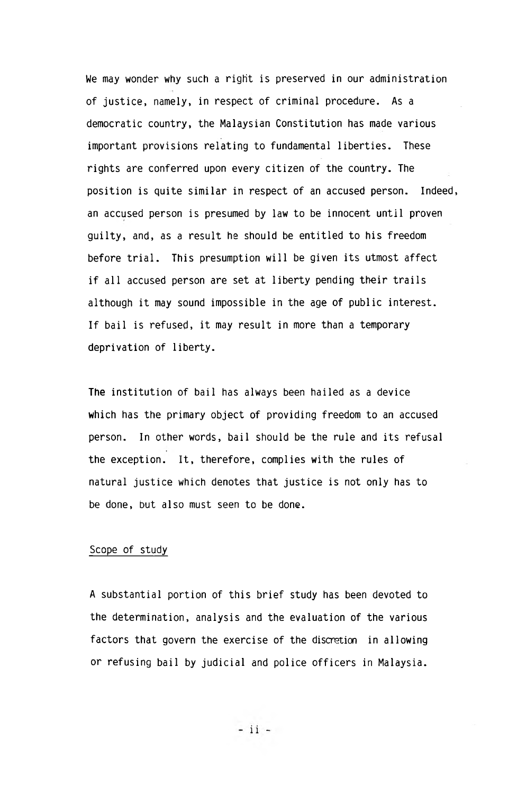We may wonder why such a right is preserved in our administration of justice, namely, in respect of criminal procedure. As a democratic country, the Malaysian Constitution has made various important provisions relating to fundamental liberties. These rights are conferred upon every citizen of the country. The position is quite similar in respect of an accused person. Indeed, an accused person is presumed by law to be innocent until proven guilty, and, as a result he should be entitled to his freedom before trial. This presumption will be given its utmost affect if all accused person are set at liberty pending their trails although it may sound impossible in the age of public interest. If bail is refused, it may result in more than a temporary deprivation of liberty.

The institution of bail has always been hailed as a device which has the primary object of providing freedom to an accused person. In other words, bail should be the rule and its refusal the exception. It, therefore, complies with the rules of natural justice which denotes that justice is not only has to be done, but also must seen to be done.

## Scope of study

A substantial portion of this brief study has been devoted to the determination, analysis and the evaluation of the various factors that govern the exercise of the discretion in allowing or refusing bail by judicial and police officers in Malaysia.